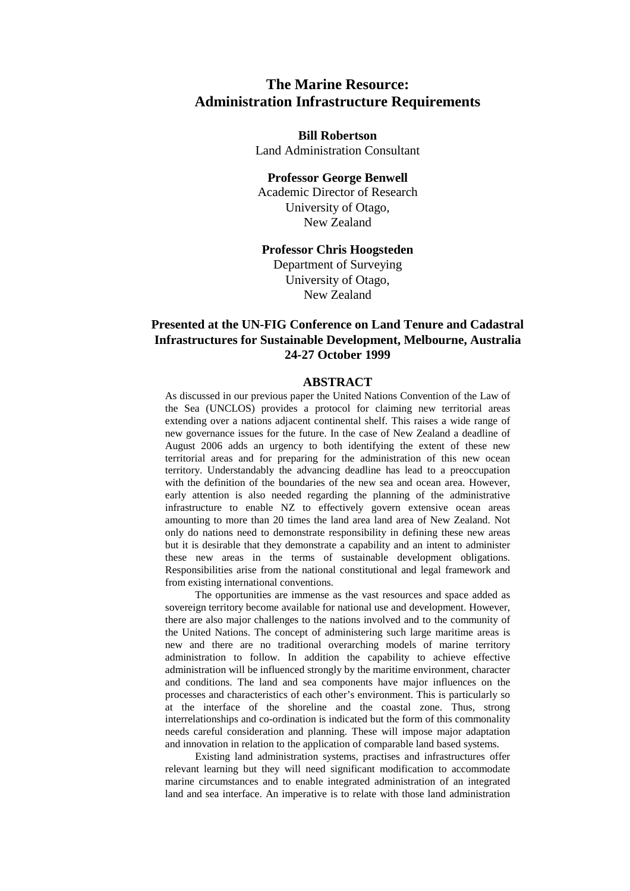# **The Marine Resource: Administration Infrastructure Requirements**

**Bill Robertson** Land Administration Consultant

#### **Professor George Benwell**

Academic Director of Research University of Otago, New Zealand

#### **Professor Chris Hoogsteden**

Department of Surveying University of Otago, New Zealand

## **Presented at the UN-FIG Conference on Land Tenure and Cadastral Infrastructures for Sustainable Development, Melbourne, Australia 24-27 October 1999**

#### **ABSTRACT**

As discussed in our previous paper the United Nations Convention of the Law of the Sea (UNCLOS) provides a protocol for claiming new territorial areas extending over a nations adjacent continental shelf. This raises a wide range of new governance issues for the future. In the case of New Zealand a deadline of August 2006 adds an urgency to both identifying the extent of these new territorial areas and for preparing for the administration of this new ocean territory. Understandably the advancing deadline has lead to a preoccupation with the definition of the boundaries of the new sea and ocean area. However, early attention is also needed regarding the planning of the administrative infrastructure to enable NZ to effectively govern extensive ocean areas amounting to more than 20 times the land area land area of New Zealand. Not only do nations need to demonstrate responsibility in defining these new areas but it is desirable that they demonstrate a capability and an intent to administer these new areas in the terms of sustainable development obligations. Responsibilities arise from the national constitutional and legal framework and from existing international conventions.

The opportunities are immense as the vast resources and space added as sovereign territory become available for national use and development. However, there are also major challenges to the nations involved and to the community of the United Nations. The concept of administering such large maritime areas is new and there are no traditional overarching models of marine territory administration to follow. In addition the capability to achieve effective administration will be influenced strongly by the maritime environment, character and conditions. The land and sea components have major influences on the processes and characteristics of each other's environment. This is particularly so at the interface of the shoreline and the coastal zone. Thus, strong interrelationships and co-ordination is indicated but the form of this commonality needs careful consideration and planning. These will impose major adaptation and innovation in relation to the application of comparable land based systems.

Existing land administration systems, practises and infrastructures offer relevant learning but they will need significant modification to accommodate marine circumstances and to enable integrated administration of an integrated land and sea interface. An imperative is to relate with those land administration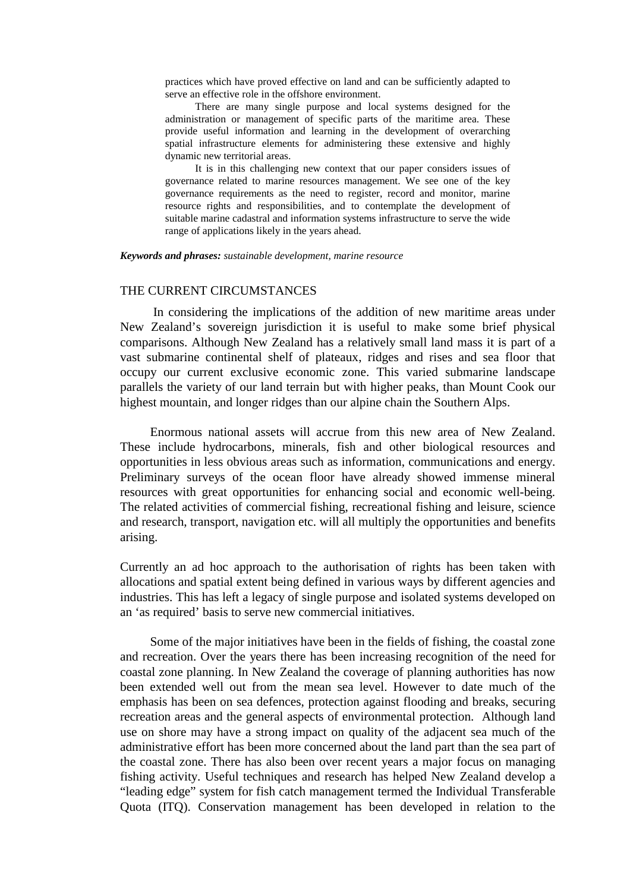practices which have proved effective on land and can be sufficiently adapted to serve an effective role in the offshore environment.

There are many single purpose and local systems designed for the administration or management of specific parts of the maritime area. These provide useful information and learning in the development of overarching spatial infrastructure elements for administering these extensive and highly dynamic new territorial areas.

It is in this challenging new context that our paper considers issues of governance related to marine resources management. We see one of the key governance requirements as the need to register, record and monitor, marine resource rights and responsibilities, and to contemplate the development of suitable marine cadastral and information systems infrastructure to serve the wide range of applications likely in the years ahead.

#### *Keywords and phrases: sustainable development, marine resource*

#### THE CURRENT CIRCUMSTANCES

 In considering the implications of the addition of new maritime areas under New Zealand's sovereign jurisdiction it is useful to make some brief physical comparisons. Although New Zealand has a relatively small land mass it is part of a vast submarine continental shelf of plateaux, ridges and rises and sea floor that occupy our current exclusive economic zone. This varied submarine landscape parallels the variety of our land terrain but with higher peaks, than Mount Cook our highest mountain, and longer ridges than our alpine chain the Southern Alps.

Enormous national assets will accrue from this new area of New Zealand. These include hydrocarbons, minerals, fish and other biological resources and opportunities in less obvious areas such as information, communications and energy. Preliminary surveys of the ocean floor have already showed immense mineral resources with great opportunities for enhancing social and economic well-being. The related activities of commercial fishing, recreational fishing and leisure, science and research, transport, navigation etc. will all multiply the opportunities and benefits arising.

Currently an ad hoc approach to the authorisation of rights has been taken with allocations and spatial extent being defined in various ways by different agencies and industries. This has left a legacy of single purpose and isolated systems developed on an 'as required' basis to serve new commercial initiatives.

Some of the major initiatives have been in the fields of fishing, the coastal zone and recreation. Over the years there has been increasing recognition of the need for coastal zone planning. In New Zealand the coverage of planning authorities has now been extended well out from the mean sea level. However to date much of the emphasis has been on sea defences, protection against flooding and breaks, securing recreation areas and the general aspects of environmental protection. Although land use on shore may have a strong impact on quality of the adjacent sea much of the administrative effort has been more concerned about the land part than the sea part of the coastal zone. There has also been over recent years a major focus on managing fishing activity. Useful techniques and research has helped New Zealand develop a "leading edge" system for fish catch management termed the Individual Transferable Quota (ITQ). Conservation management has been developed in relation to the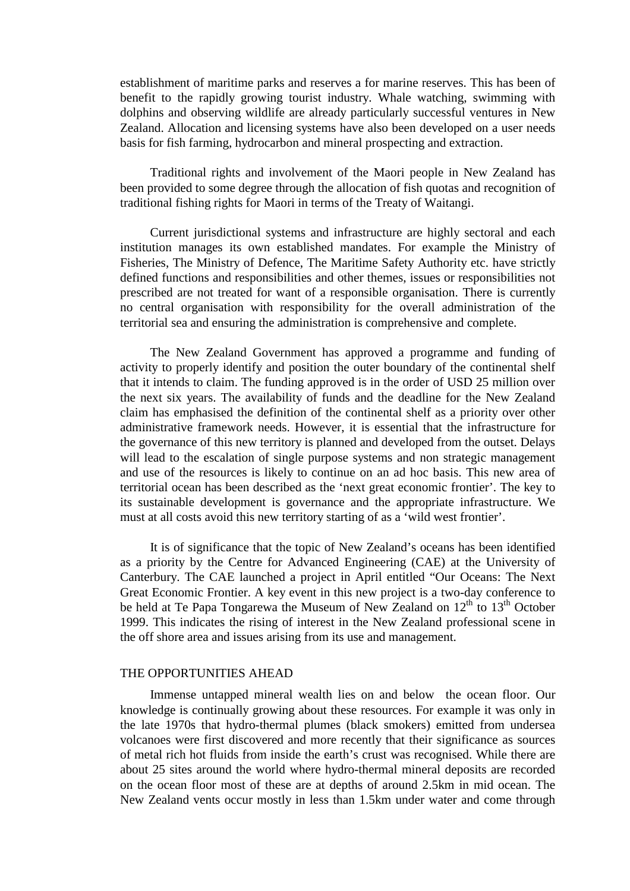establishment of maritime parks and reserves a for marine reserves. This has been of benefit to the rapidly growing tourist industry. Whale watching, swimming with dolphins and observing wildlife are already particularly successful ventures in New Zealand. Allocation and licensing systems have also been developed on a user needs basis for fish farming, hydrocarbon and mineral prospecting and extraction.

Traditional rights and involvement of the Maori people in New Zealand has been provided to some degree through the allocation of fish quotas and recognition of traditional fishing rights for Maori in terms of the Treaty of Waitangi.

Current jurisdictional systems and infrastructure are highly sectoral and each institution manages its own established mandates. For example the Ministry of Fisheries, The Ministry of Defence, The Maritime Safety Authority etc. have strictly defined functions and responsibilities and other themes, issues or responsibilities not prescribed are not treated for want of a responsible organisation. There is currently no central organisation with responsibility for the overall administration of the territorial sea and ensuring the administration is comprehensive and complete.

The New Zealand Government has approved a programme and funding of activity to properly identify and position the outer boundary of the continental shelf that it intends to claim. The funding approved is in the order of USD 25 million over the next six years. The availability of funds and the deadline for the New Zealand claim has emphasised the definition of the continental shelf as a priority over other administrative framework needs. However, it is essential that the infrastructure for the governance of this new territory is planned and developed from the outset. Delays will lead to the escalation of single purpose systems and non strategic management and use of the resources is likely to continue on an ad hoc basis. This new area of territorial ocean has been described as the 'next great economic frontier'. The key to its sustainable development is governance and the appropriate infrastructure. We must at all costs avoid this new territory starting of as a 'wild west frontier'.

It is of significance that the topic of New Zealand's oceans has been identified as a priority by the Centre for Advanced Engineering (CAE) at the University of Canterbury. The CAE launched a project in April entitled "Our Oceans: The Next Great Economic Frontier. A key event in this new project is a two-day conference to be held at Te Papa Tongarewa the Museum of New Zealand on  $12<sup>th</sup>$  to  $13<sup>th</sup>$  October 1999. This indicates the rising of interest in the New Zealand professional scene in the off shore area and issues arising from its use and management.

#### THE OPPORTUNITIES AHEAD

Immense untapped mineral wealth lies on and below the ocean floor. Our knowledge is continually growing about these resources. For example it was only in the late 1970s that hydro-thermal plumes (black smokers) emitted from undersea volcanoes were first discovered and more recently that their significance as sources of metal rich hot fluids from inside the earth's crust was recognised. While there are about 25 sites around the world where hydro-thermal mineral deposits are recorded on the ocean floor most of these are at depths of around 2.5km in mid ocean. The New Zealand vents occur mostly in less than 1.5km under water and come through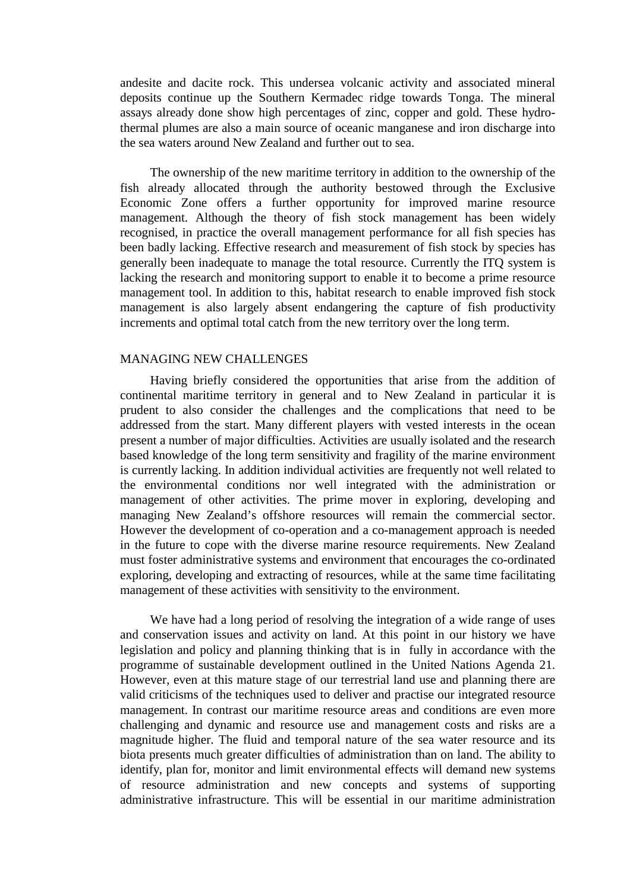andesite and dacite rock. This undersea volcanic activity and associated mineral deposits continue up the Southern Kermadec ridge towards Tonga. The mineral assays already done show high percentages of zinc, copper and gold. These hydrothermal plumes are also a main source of oceanic manganese and iron discharge into the sea waters around New Zealand and further out to sea.

The ownership of the new maritime territory in addition to the ownership of the fish already allocated through the authority bestowed through the Exclusive Economic Zone offers a further opportunity for improved marine resource management. Although the theory of fish stock management has been widely recognised, in practice the overall management performance for all fish species has been badly lacking. Effective research and measurement of fish stock by species has generally been inadequate to manage the total resource. Currently the ITQ system is lacking the research and monitoring support to enable it to become a prime resource management tool. In addition to this, habitat research to enable improved fish stock management is also largely absent endangering the capture of fish productivity increments and optimal total catch from the new territory over the long term.

#### MANAGING NEW CHALLENGES

Having briefly considered the opportunities that arise from the addition of continental maritime territory in general and to New Zealand in particular it is prudent to also consider the challenges and the complications that need to be addressed from the start. Many different players with vested interests in the ocean present a number of major difficulties. Activities are usually isolated and the research based knowledge of the long term sensitivity and fragility of the marine environment is currently lacking. In addition individual activities are frequently not well related to the environmental conditions nor well integrated with the administration or management of other activities. The prime mover in exploring, developing and managing New Zealand's offshore resources will remain the commercial sector. However the development of co-operation and a co-management approach is needed in the future to cope with the diverse marine resource requirements. New Zealand must foster administrative systems and environment that encourages the co-ordinated exploring, developing and extracting of resources, while at the same time facilitating management of these activities with sensitivity to the environment.

We have had a long period of resolving the integration of a wide range of uses and conservation issues and activity on land. At this point in our history we have legislation and policy and planning thinking that is in fully in accordance with the programme of sustainable development outlined in the United Nations Agenda 21. However, even at this mature stage of our terrestrial land use and planning there are valid criticisms of the techniques used to deliver and practise our integrated resource management. In contrast our maritime resource areas and conditions are even more challenging and dynamic and resource use and management costs and risks are a magnitude higher. The fluid and temporal nature of the sea water resource and its biota presents much greater difficulties of administration than on land. The ability to identify, plan for, monitor and limit environmental effects will demand new systems of resource administration and new concepts and systems of supporting administrative infrastructure. This will be essential in our maritime administration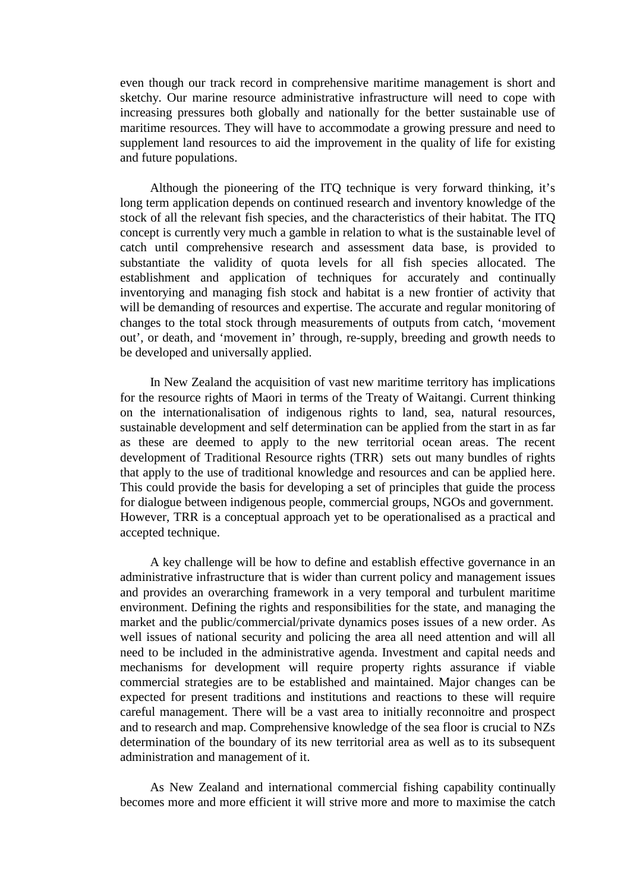even though our track record in comprehensive maritime management is short and sketchy. Our marine resource administrative infrastructure will need to cope with increasing pressures both globally and nationally for the better sustainable use of maritime resources. They will have to accommodate a growing pressure and need to supplement land resources to aid the improvement in the quality of life for existing and future populations.

Although the pioneering of the ITQ technique is very forward thinking, it's long term application depends on continued research and inventory knowledge of the stock of all the relevant fish species, and the characteristics of their habitat. The ITQ concept is currently very much a gamble in relation to what is the sustainable level of catch until comprehensive research and assessment data base, is provided to substantiate the validity of quota levels for all fish species allocated. The establishment and application of techniques for accurately and continually inventorying and managing fish stock and habitat is a new frontier of activity that will be demanding of resources and expertise. The accurate and regular monitoring of changes to the total stock through measurements of outputs from catch, 'movement out', or death, and 'movement in' through, re-supply, breeding and growth needs to be developed and universally applied.

In New Zealand the acquisition of vast new maritime territory has implications for the resource rights of Maori in terms of the Treaty of Waitangi. Current thinking on the internationalisation of indigenous rights to land, sea, natural resources, sustainable development and self determination can be applied from the start in as far as these are deemed to apply to the new territorial ocean areas. The recent development of Traditional Resource rights (TRR) sets out many bundles of rights that apply to the use of traditional knowledge and resources and can be applied here. This could provide the basis for developing a set of principles that guide the process for dialogue between indigenous people, commercial groups, NGOs and government. However, TRR is a conceptual approach yet to be operationalised as a practical and accepted technique.

A key challenge will be how to define and establish effective governance in an administrative infrastructure that is wider than current policy and management issues and provides an overarching framework in a very temporal and turbulent maritime environment. Defining the rights and responsibilities for the state, and managing the market and the public/commercial/private dynamics poses issues of a new order. As well issues of national security and policing the area all need attention and will all need to be included in the administrative agenda. Investment and capital needs and mechanisms for development will require property rights assurance if viable commercial strategies are to be established and maintained. Major changes can be expected for present traditions and institutions and reactions to these will require careful management. There will be a vast area to initially reconnoitre and prospect and to research and map. Comprehensive knowledge of the sea floor is crucial to NZs determination of the boundary of its new territorial area as well as to its subsequent administration and management of it.

As New Zealand and international commercial fishing capability continually becomes more and more efficient it will strive more and more to maximise the catch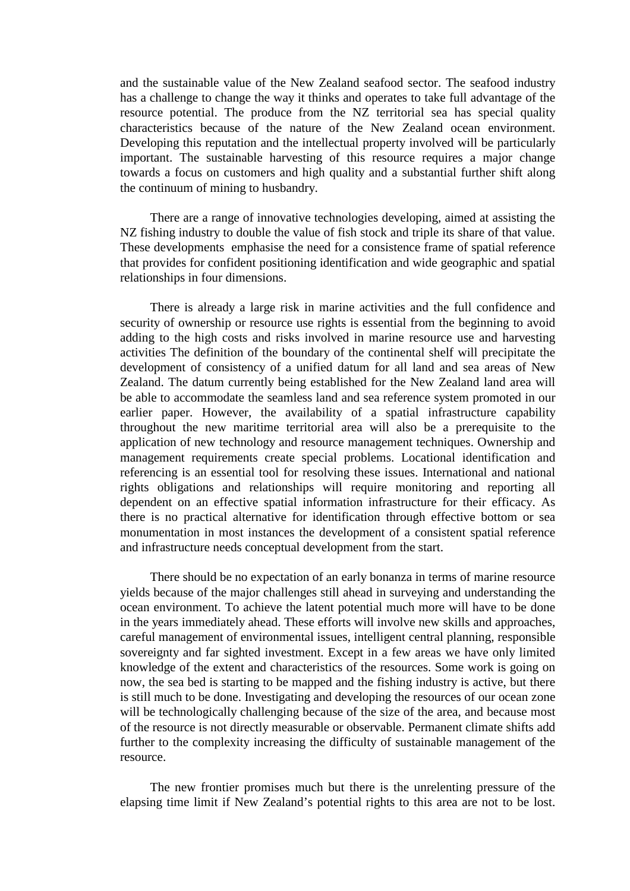and the sustainable value of the New Zealand seafood sector. The seafood industry has a challenge to change the way it thinks and operates to take full advantage of the resource potential. The produce from the NZ territorial sea has special quality characteristics because of the nature of the New Zealand ocean environment. Developing this reputation and the intellectual property involved will be particularly important. The sustainable harvesting of this resource requires a major change towards a focus on customers and high quality and a substantial further shift along the continuum of mining to husbandry.

There are a range of innovative technologies developing, aimed at assisting the NZ fishing industry to double the value of fish stock and triple its share of that value. These developments emphasise the need for a consistence frame of spatial reference that provides for confident positioning identification and wide geographic and spatial relationships in four dimensions.

There is already a large risk in marine activities and the full confidence and security of ownership or resource use rights is essential from the beginning to avoid adding to the high costs and risks involved in marine resource use and harvesting activities The definition of the boundary of the continental shelf will precipitate the development of consistency of a unified datum for all land and sea areas of New Zealand. The datum currently being established for the New Zealand land area will be able to accommodate the seamless land and sea reference system promoted in our earlier paper. However, the availability of a spatial infrastructure capability throughout the new maritime territorial area will also be a prerequisite to the application of new technology and resource management techniques. Ownership and management requirements create special problems. Locational identification and referencing is an essential tool for resolving these issues. International and national rights obligations and relationships will require monitoring and reporting all dependent on an effective spatial information infrastructure for their efficacy. As there is no practical alternative for identification through effective bottom or sea monumentation in most instances the development of a consistent spatial reference and infrastructure needs conceptual development from the start.

There should be no expectation of an early bonanza in terms of marine resource yields because of the major challenges still ahead in surveying and understanding the ocean environment. To achieve the latent potential much more will have to be done in the years immediately ahead. These efforts will involve new skills and approaches, careful management of environmental issues, intelligent central planning, responsible sovereignty and far sighted investment. Except in a few areas we have only limited knowledge of the extent and characteristics of the resources. Some work is going on now, the sea bed is starting to be mapped and the fishing industry is active, but there is still much to be done. Investigating and developing the resources of our ocean zone will be technologically challenging because of the size of the area, and because most of the resource is not directly measurable or observable. Permanent climate shifts add further to the complexity increasing the difficulty of sustainable management of the resource.

The new frontier promises much but there is the unrelenting pressure of the elapsing time limit if New Zealand's potential rights to this area are not to be lost.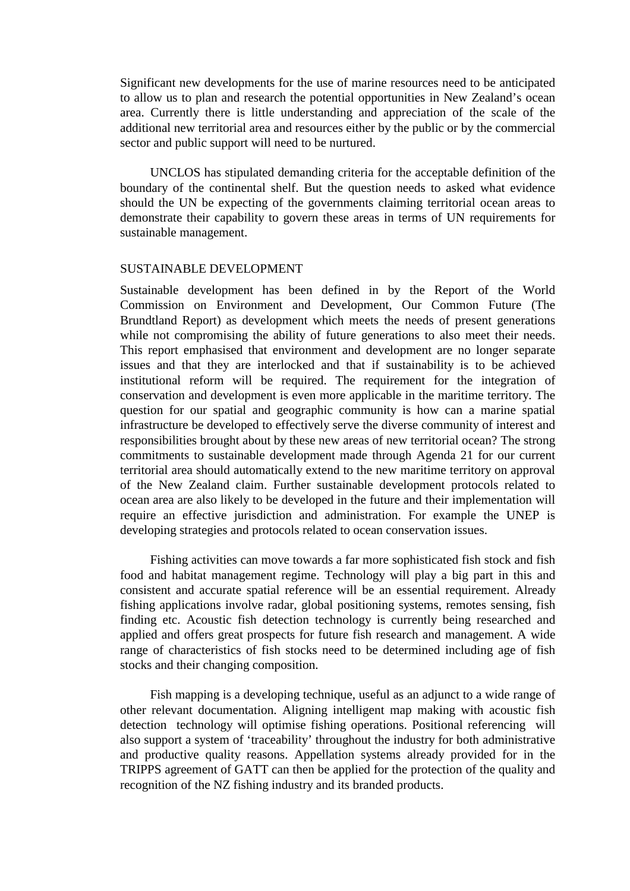Significant new developments for the use of marine resources need to be anticipated to allow us to plan and research the potential opportunities in New Zealand's ocean area. Currently there is little understanding and appreciation of the scale of the additional new territorial area and resources either by the public or by the commercial sector and public support will need to be nurtured.

UNCLOS has stipulated demanding criteria for the acceptable definition of the boundary of the continental shelf. But the question needs to asked what evidence should the UN be expecting of the governments claiming territorial ocean areas to demonstrate their capability to govern these areas in terms of UN requirements for sustainable management.

#### SUSTAINABLE DEVELOPMENT

Sustainable development has been defined in by the Report of the World Commission on Environment and Development, Our Common Future (The Brundtland Report) as development which meets the needs of present generations while not compromising the ability of future generations to also meet their needs. This report emphasised that environment and development are no longer separate issues and that they are interlocked and that if sustainability is to be achieved institutional reform will be required. The requirement for the integration of conservation and development is even more applicable in the maritime territory. The question for our spatial and geographic community is how can a marine spatial infrastructure be developed to effectively serve the diverse community of interest and responsibilities brought about by these new areas of new territorial ocean? The strong commitments to sustainable development made through Agenda 21 for our current territorial area should automatically extend to the new maritime territory on approval of the New Zealand claim. Further sustainable development protocols related to ocean area are also likely to be developed in the future and their implementation will require an effective jurisdiction and administration. For example the UNEP is developing strategies and protocols related to ocean conservation issues.

Fishing activities can move towards a far more sophisticated fish stock and fish food and habitat management regime. Technology will play a big part in this and consistent and accurate spatial reference will be an essential requirement. Already fishing applications involve radar, global positioning systems, remotes sensing, fish finding etc. Acoustic fish detection technology is currently being researched and applied and offers great prospects for future fish research and management. A wide range of characteristics of fish stocks need to be determined including age of fish stocks and their changing composition.

Fish mapping is a developing technique, useful as an adjunct to a wide range of other relevant documentation. Aligning intelligent map making with acoustic fish detection technology will optimise fishing operations. Positional referencing will also support a system of 'traceability' throughout the industry for both administrative and productive quality reasons. Appellation systems already provided for in the TRIPPS agreement of GATT can then be applied for the protection of the quality and recognition of the NZ fishing industry and its branded products.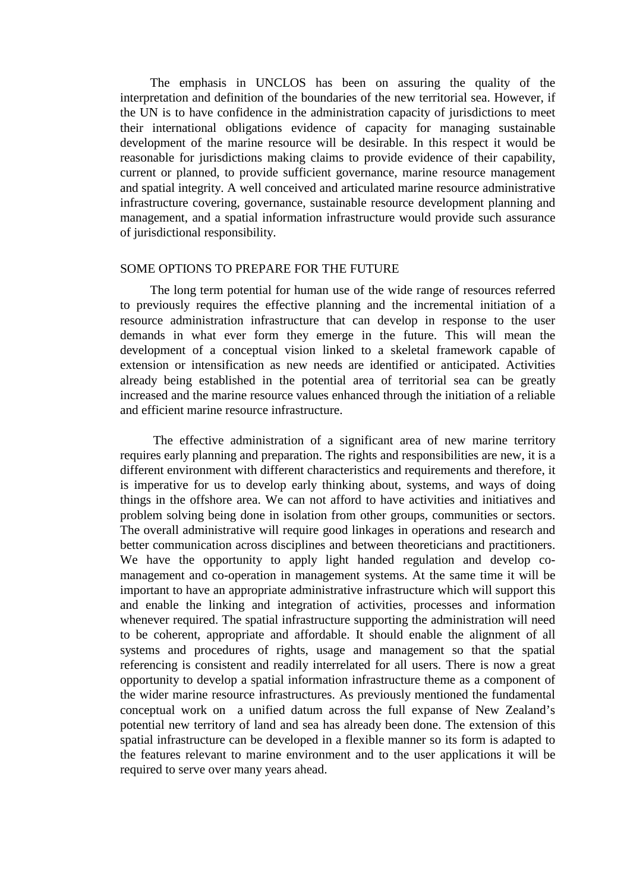The emphasis in UNCLOS has been on assuring the quality of the interpretation and definition of the boundaries of the new territorial sea. However, if the UN is to have confidence in the administration capacity of jurisdictions to meet their international obligations evidence of capacity for managing sustainable development of the marine resource will be desirable. In this respect it would be reasonable for jurisdictions making claims to provide evidence of their capability, current or planned, to provide sufficient governance, marine resource management and spatial integrity. A well conceived and articulated marine resource administrative infrastructure covering, governance, sustainable resource development planning and management, and a spatial information infrastructure would provide such assurance of jurisdictional responsibility.

#### SOME OPTIONS TO PREPARE FOR THE FUTURE

The long term potential for human use of the wide range of resources referred to previously requires the effective planning and the incremental initiation of a resource administration infrastructure that can develop in response to the user demands in what ever form they emerge in the future. This will mean the development of a conceptual vision linked to a skeletal framework capable of extension or intensification as new needs are identified or anticipated. Activities already being established in the potential area of territorial sea can be greatly increased and the marine resource values enhanced through the initiation of a reliable and efficient marine resource infrastructure.

 The effective administration of a significant area of new marine territory requires early planning and preparation. The rights and responsibilities are new, it is a different environment with different characteristics and requirements and therefore, it is imperative for us to develop early thinking about, systems, and ways of doing things in the offshore area. We can not afford to have activities and initiatives and problem solving being done in isolation from other groups, communities or sectors. The overall administrative will require good linkages in operations and research and better communication across disciplines and between theoreticians and practitioners. We have the opportunity to apply light handed regulation and develop comanagement and co-operation in management systems. At the same time it will be important to have an appropriate administrative infrastructure which will support this and enable the linking and integration of activities, processes and information whenever required. The spatial infrastructure supporting the administration will need to be coherent, appropriate and affordable. It should enable the alignment of all systems and procedures of rights, usage and management so that the spatial referencing is consistent and readily interrelated for all users. There is now a great opportunity to develop a spatial information infrastructure theme as a component of the wider marine resource infrastructures. As previously mentioned the fundamental conceptual work on a unified datum across the full expanse of New Zealand's potential new territory of land and sea has already been done. The extension of this spatial infrastructure can be developed in a flexible manner so its form is adapted to the features relevant to marine environment and to the user applications it will be required to serve over many years ahead.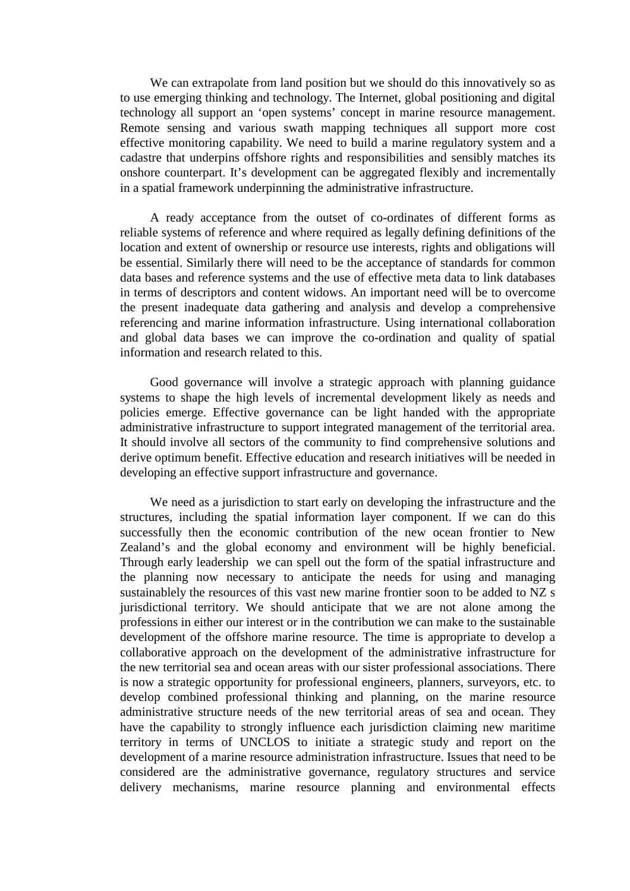We can extrapolate from land position but we should do this innovatively so as to use emerging thinking and technology. The Internet, global positioning and digital technology all support an 'open systems' concept in marine resource management. Remote sensing and various swath mapping techniques all support more cost effective monitoring capability. We need to build a marine regulatory system and a cadastre that underpins offshore rights and responsibilities and sensibly matches its onshore counterpart. It's development can be aggregated flexibly and incrementally in a spatial framework underpinning the administrative infrastructure.

A ready acceptance from the outset of co-ordinates of different forms as reliable systems of reference and where required as legally defining definitions of the location and extent of ownership or resource use interests, rights and obligations will be essential. Similarly there will need to be the acceptance of standards for common data bases and reference systems and the use of effective meta data to link databases in terms of descriptors and content widows. An important need will be to overcome the present inadequate data gathering and analysis and develop a comprehensive referencing and marine information infrastructure. Using international collaboration and global data bases we can improve the co-ordination and quality of spatial information and research related to this.

Good governance will involve a strategic approach with planning guidance systems to shape the high levels of incremental development likely as needs and policies emerge. Effective governance can be light handed with the appropriate administrative infrastructure to support integrated management of the territorial area. It should involve all sectors of the community to find comprehensive solutions and derive optimum benefit. Effective education and research initiatives will be needed in developing an effective support infrastructure and governance.

We need as a jurisdiction to start early on developing the infrastructure and the structures, including the spatial information layer component. If we can do this successfully then the economic contribution of the new ocean frontier to New Zealand's and the global economy and environment will be highly beneficial. Through early leadership we can spell out the form of the spatial infrastructure and the planning now necessary to anticipate the needs for using and managing sustainablely the resources of this vast new marine frontier soon to be added to NZ s jurisdictional territory. We should anticipate that we are not alone among the professions in either our interest or in the contribution we can make to the sustainable development of the offshore marine resource. The time is appropriate to develop a collaborative approach on the development of the administrative infrastructure for the new territorial sea and ocean areas with our sister professional associations. There is now a strategic opportunity for professional engineers, planners, surveyors, etc. to develop combined professional thinking and planning, on the marine resource administrative structure needs of the new territorial areas of sea and ocean. They have the capability to strongly influence each jurisdiction claiming new maritime territory in terms of UNCLOS to initiate a strategic study and report on the development of a marine resource administration infrastructure. Issues that need to be considered are the administrative governance, regulatory structures and service delivery mechanisms, marine resource planning and environmental effects